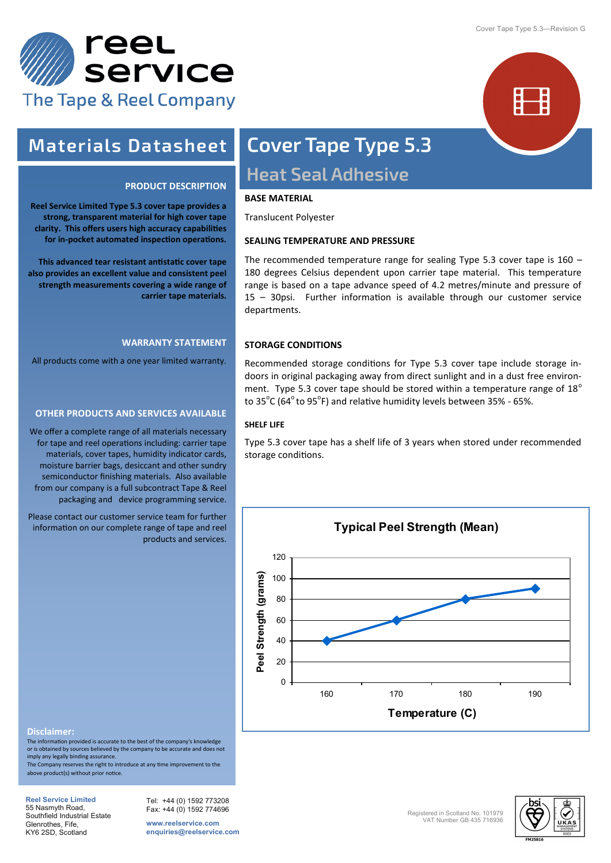



### **Materials Datasheet**

#### **PRODUCT DESCRIPTION**

**Reel Service Limited Type 5.3 cover tape provides a strong, transparent material for high cover tape clarity. This offers users high accuracy capabilities for in-pocket automated inspection operations.**

**This advanced tear resistant antistatic cover tape also provides an excellent value and consistent peel strength measurements covering a wide range of carrier tape materials.**

#### **WARRANTY STATEMENT**

All products come with a one year limited warranty.

#### **OTHER PRODUCTS AND SERVICES AVAILABLE**

We offer a complete range of all materials necessary for tape and reel operations including: carrier tape materials, cover tapes, humidity indicator cards, moisture barrier bags, desiccant and other sundry semiconductor finishing materials. Also available from our company is a full subcontract Tape & Reel packaging and device programming service.

Please contact our customer service team for further information on our complete range of tape and reel products and services.

# **Cover Tape Type 5.3 Heat Seal Adhesive**

#### **BASE MATERIAL**

Translucent Polyester

#### **SEALING TEMPERATURE AND PRESSURE**

The recommended temperature range for sealing Type 5.3 cover tape is 160 – 180 degrees Celsius dependent upon carrier tape material. This temperature range is based on a tape advance speed of 4.2 metres/minute and pressure of 15 – 30psi. Further information is available through our customer service departments.

#### **STORAGE CONDITIONS**

Recommended storage conditions for Type 5.3 cover tape include storage indoors in original packaging away from direct sunlight and in a dust free environment. Type 5.3 cover tape should be stored within a temperature range of  $18^{\circ}$ to  $35^{\circ}$ C (64 $^{\circ}$  to 95 $^{\circ}$ F) and relative humidity levels between 35% - 65%.

#### **SHELF LIFE**

Type 5.3 cover tape has a shelf life of 3 years when stored under recommended storage conditions.



#### **Disclaimer:**

The information provided is accurate to the best of the company's knowledge or is obtained by sources believed by the company to be accurate and does not imply any legally binding assurance.

The Company reserves the right to introduce at any time improvement to the above product(s) without prior notice.

**Reel Service Limited**  55 Nasmyth Road, Southfield Industrial Estate Glenrothes, Fife, KY6 2SD, Scotland

Tel: +44 (0) 1592 773208 Fax: +44 (0) 1592 774696

**www.reelservice.com enquiries@reelservice.com**